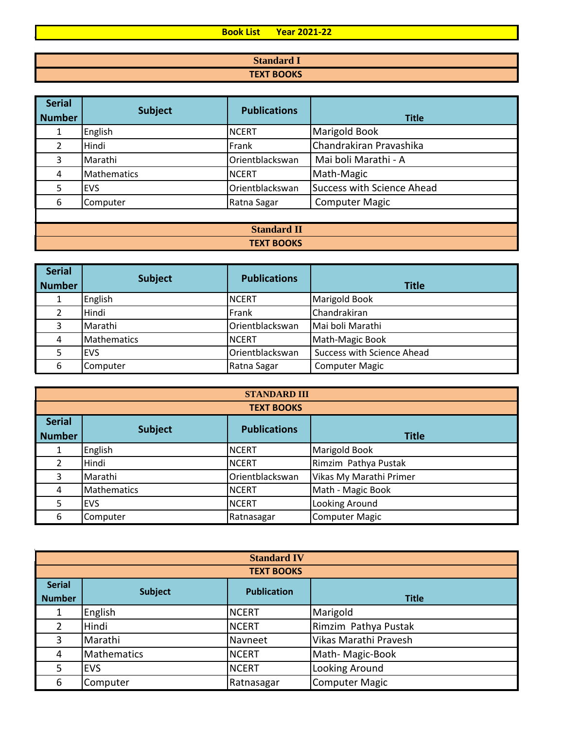## **Book List Year 2021-22**

| <b>Standard I</b> |
|-------------------|
| <b>TEXT BOOKS</b> |

| <b>Serial</b><br><b>Number</b> | <b>Subject</b>     | <b>Publications</b> | <b>Title</b>                      |
|--------------------------------|--------------------|---------------------|-----------------------------------|
|                                | English            | <b>NCERT</b>        | <b>Marigold Book</b>              |
| 2                              | Hindi              | Frank               | Chandrakiran Pravashika           |
| 3                              | Marathi            | Orientblackswan     | Mai boli Marathi - A              |
| 4                              | <b>Mathematics</b> | <b>NCERT</b>        | Math-Magic                        |
| 5.                             | <b>EVS</b>         | Orientblackswan     | <b>Success with Science Ahead</b> |
| 6                              | Computer           | Ratna Sagar         | <b>Computer Magic</b>             |
|                                |                    |                     |                                   |
| <b>Standard II</b>             |                    |                     |                                   |

## **TEXT BOOKS**

| <b>Serial</b> |                |                     |                                   |
|---------------|----------------|---------------------|-----------------------------------|
| <b>Number</b> | <b>Subject</b> | <b>Publications</b> | <b>Title</b>                      |
|               | English        | <b>NCERT</b>        | <b>Marigold Book</b>              |
|               | Hindi          | Frank               | Chandrakiran                      |
|               | Marathi        | Orientblackswan     | Mai boli Marathi                  |
| 4             | Mathematics    | <b>INCERT</b>       | Math-Magic Book                   |
|               | <b>IEVS</b>    | Orientblackswan     | <b>Success with Science Ahead</b> |
| 6             | Computer       | Ratna Sagar         | <b>Computer Magic</b>             |

| <b>STANDARD III</b> |                    |                     |                         |  |  |  |
|---------------------|--------------------|---------------------|-------------------------|--|--|--|
|                     | <b>TEXT BOOKS</b>  |                     |                         |  |  |  |
| <b>Serial</b>       |                    |                     |                         |  |  |  |
| <b>Number</b>       | <b>Subject</b>     | <b>Publications</b> | <b>Title</b>            |  |  |  |
|                     | English            | <b>NCERT</b>        | <b>Marigold Book</b>    |  |  |  |
| 2                   | Hindi              | <b>NCERT</b>        | Rimzim Pathya Pustak    |  |  |  |
| 3                   | Marathi            | Orientblackswan     | Vikas My Marathi Primer |  |  |  |
| 4                   | <b>Mathematics</b> | <b>NCERT</b>        | Math - Magic Book       |  |  |  |
| 5                   | <b>EVS</b>         | <b>NCERT</b>        | Looking Around          |  |  |  |
| 6                   | Computer           | Ratnasagar          | <b>Computer Magic</b>   |  |  |  |

| <b>Standard IV</b> |                    |              |                       |  |  |
|--------------------|--------------------|--------------|-----------------------|--|--|
|                    | <b>TEXT BOOKS</b>  |              |                       |  |  |
| <b>Serial</b>      | <b>Publication</b> |              |                       |  |  |
| <b>Number</b>      | <b>Subject</b>     |              | <b>Title</b>          |  |  |
|                    | English            | <b>NCERT</b> | Marigold              |  |  |
| 2                  | Hindi              | <b>NCERT</b> | Rimzim Pathya Pustak  |  |  |
| 3                  | Marathi            | Navneet      | Vikas Marathi Pravesh |  |  |
| 4                  | <b>Mathematics</b> | <b>NCERT</b> | Math-Magic-Book       |  |  |
| 5                  | <b>EVS</b>         | <b>NCERT</b> | Looking Around        |  |  |
| 6                  | Computer           | Ratnasagar   | <b>Computer Magic</b> |  |  |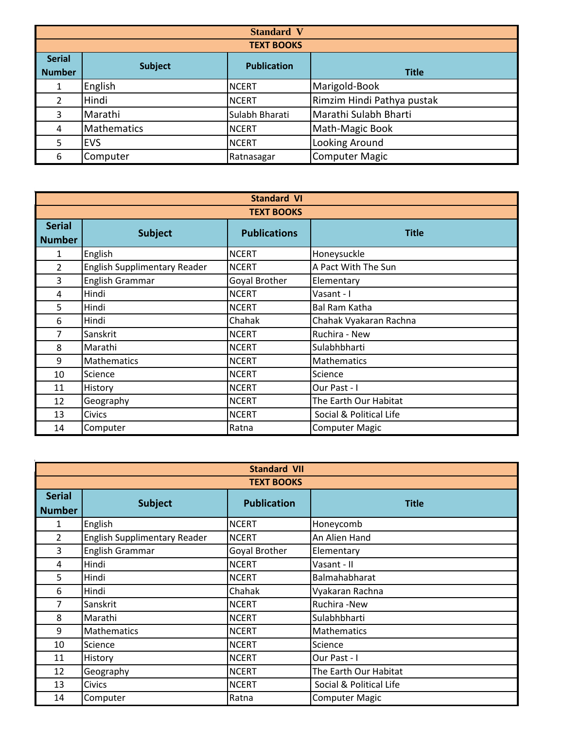| <b>Standard V</b>              |                |                    |                            |
|--------------------------------|----------------|--------------------|----------------------------|
|                                |                | <b>TEXT BOOKS</b>  |                            |
| <b>Serial</b><br><b>Number</b> | <b>Subject</b> | <b>Publication</b> | <b>Title</b>               |
|                                | English        | <b>NCERT</b>       | Marigold-Book              |
| $\overline{2}$                 | Hindi          | <b>NCERT</b>       | Rimzim Hindi Pathya pustak |
| 3                              | Marathi        | Sulabh Bharati     | Marathi Sulabh Bharti      |
| 4                              | Mathematics    | <b>NCERT</b>       | Math-Magic Book            |
| 5                              | <b>EVS</b>     | <b>NCERT</b>       | Looking Around             |
| 6                              | Computer       | Ratnasagar         | <b>Computer Magic</b>      |

| <b>Standard VI</b> |                                     |                     |                         |  |  |  |
|--------------------|-------------------------------------|---------------------|-------------------------|--|--|--|
|                    | <b>TEXT BOOKS</b>                   |                     |                         |  |  |  |
| <b>Serial</b>      | <b>Subject</b>                      | <b>Publications</b> | <b>Title</b>            |  |  |  |
| <b>Number</b>      |                                     |                     |                         |  |  |  |
| 1                  | English                             | <b>NCERT</b>        | Honeysuckle             |  |  |  |
| $\overline{2}$     | <b>English Supplimentary Reader</b> | <b>NCERT</b>        | A Pact With The Sun     |  |  |  |
| 3                  | <b>English Grammar</b>              | Goyal Brother       | Elementary              |  |  |  |
| 4                  | Hindi                               | <b>NCERT</b>        | Vasant - I              |  |  |  |
| 5                  | Hindi                               | <b>NCERT</b>        | <b>Bal Ram Katha</b>    |  |  |  |
| 6                  | Hindi                               | Chahak              | Chahak Vyakaran Rachna  |  |  |  |
| 7                  | Sanskrit                            | <b>NCERT</b>        | Ruchira - New           |  |  |  |
| 8                  | Marathi                             | <b>NCERT</b>        | Sulabhbharti            |  |  |  |
| 9                  | Mathematics                         | <b>NCERT</b>        | <b>Mathematics</b>      |  |  |  |
| 10                 | Science                             | <b>NCERT</b>        | Science                 |  |  |  |
| 11                 | History                             | <b>NCERT</b>        | Our Past - I            |  |  |  |
| 12                 | Geography                           | <b>NCERT</b>        | The Earth Our Habitat   |  |  |  |
| 13                 | <b>Civics</b>                       | <b>NCERT</b>        | Social & Political Life |  |  |  |
| 14                 | Computer                            | Ratna               | <b>Computer Magic</b>   |  |  |  |

| <b>Standard VII</b> |                                     |                    |                         |  |  |
|---------------------|-------------------------------------|--------------------|-------------------------|--|--|
|                     | <b>TEXT BOOKS</b>                   |                    |                         |  |  |
| <b>Serial</b>       |                                     | <b>Publication</b> | <b>Title</b>            |  |  |
| <b>Number</b>       | <b>Subject</b>                      |                    |                         |  |  |
| 1                   | English                             | <b>NCERT</b>       | Honeycomb               |  |  |
| $\overline{2}$      | <b>English Supplimentary Reader</b> | <b>NCERT</b>       | An Alien Hand           |  |  |
| 3                   | English Grammar                     | Goyal Brother      | Elementary              |  |  |
| 4                   | Hindi                               | <b>NCERT</b>       | Vasant - II             |  |  |
| 5                   | Hindi                               | <b>NCERT</b>       | Balmahabharat           |  |  |
| 6                   | Hindi                               | Chahak             | Vyakaran Rachna         |  |  |
|                     | Sanskrit                            | <b>NCERT</b>       | Ruchira -New            |  |  |
| 8                   | Marathi                             | <b>NCERT</b>       | Sulabhbharti            |  |  |
| 9                   | <b>Mathematics</b>                  | <b>NCERT</b>       | Mathematics             |  |  |
| 10                  | Science                             | <b>NCERT</b>       | Science                 |  |  |
| 11                  | History                             | <b>NCERT</b>       | Our Past - I            |  |  |
| 12                  | Geography                           | <b>NCERT</b>       | The Earth Our Habitat   |  |  |
| 13                  | <b>Civics</b>                       | <b>NCERT</b>       | Social & Political Life |  |  |
| 14                  | Computer                            | Ratna              | <b>Computer Magic</b>   |  |  |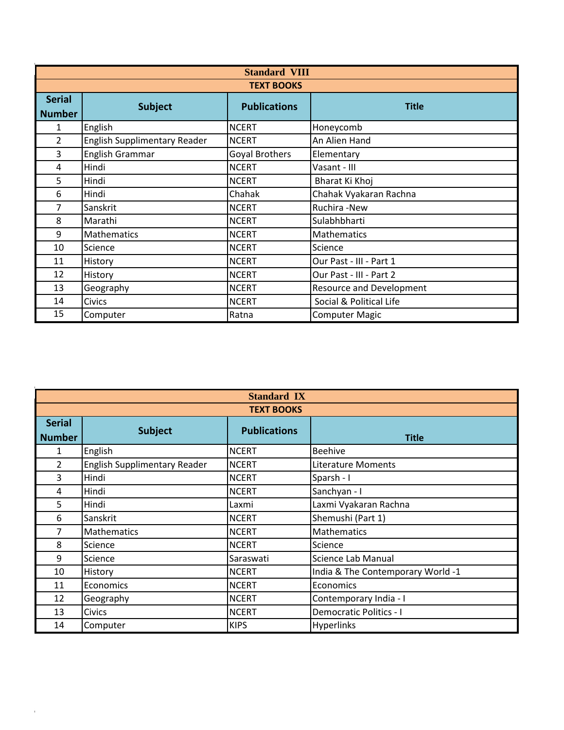| <b>Standard VIII</b> |                                     |                       |                                 |  |  |  |
|----------------------|-------------------------------------|-----------------------|---------------------------------|--|--|--|
|                      | <b>TEXT BOOKS</b>                   |                       |                                 |  |  |  |
| <b>Serial</b>        |                                     | <b>Publications</b>   | <b>Title</b>                    |  |  |  |
| <b>Number</b>        | <b>Subject</b>                      |                       |                                 |  |  |  |
| 1                    | English                             | <b>NCERT</b>          | Honeycomb                       |  |  |  |
| $\overline{2}$       | <b>English Supplimentary Reader</b> | <b>NCERT</b>          | An Alien Hand                   |  |  |  |
| 3                    | English Grammar                     | <b>Goyal Brothers</b> | Elementary                      |  |  |  |
| 4                    | Hindi                               | <b>NCERT</b>          | Vasant - III                    |  |  |  |
| 5                    | Hindi                               | <b>NCERT</b>          | Bharat Ki Khoj                  |  |  |  |
| 6                    | Hindi                               | Chahak                | Chahak Vyakaran Rachna          |  |  |  |
| 7                    | Sanskrit                            | <b>NCERT</b>          | Ruchira -New                    |  |  |  |
| 8                    | Marathi                             | <b>NCERT</b>          | Sulabhbharti                    |  |  |  |
| 9                    | Mathematics                         | <b>NCERT</b>          | <b>Mathematics</b>              |  |  |  |
| 10                   | Science                             | <b>NCERT</b>          | Science                         |  |  |  |
| 11                   | History                             | <b>NCERT</b>          | Our Past - III - Part 1         |  |  |  |
| 12                   | History                             | <b>NCERT</b>          | Our Past - III - Part 2         |  |  |  |
| 13                   | Geography                           | <b>NCERT</b>          | <b>Resource and Development</b> |  |  |  |
| 14                   | <b>Civics</b>                       | <b>NCERT</b>          | Social & Political Life         |  |  |  |
| 15                   | Computer                            | Ratna                 | <b>Computer Magic</b>           |  |  |  |

|               | <b>Standard IX</b>                  |                     |                                   |  |  |  |
|---------------|-------------------------------------|---------------------|-----------------------------------|--|--|--|
|               | <b>TEXT BOOKS</b>                   |                     |                                   |  |  |  |
| <b>Serial</b> | <b>Subject</b>                      | <b>Publications</b> |                                   |  |  |  |
| <b>Number</b> |                                     |                     | <b>Title</b>                      |  |  |  |
| 1             | English                             | <b>NCERT</b>        | <b>Beehive</b>                    |  |  |  |
| 2             | <b>English Supplimentary Reader</b> | <b>NCERT</b>        | <b>Literature Moments</b>         |  |  |  |
| 3             | Hindi                               | <b>NCERT</b>        | Sparsh - I                        |  |  |  |
| 4             | Hindi                               | <b>NCERT</b>        | Sanchyan - I                      |  |  |  |
| 5             | Hindi                               | Laxmi               | Laxmi Vyakaran Rachna             |  |  |  |
| 6             | Sanskrit                            | <b>NCERT</b>        | Shemushi (Part 1)                 |  |  |  |
| 7             | <b>Mathematics</b>                  | <b>NCERT</b>        | <b>Mathematics</b>                |  |  |  |
| 8             | Science                             | <b>NCERT</b>        | Science                           |  |  |  |
| 9             | Science                             | Saraswati           | Science Lab Manual                |  |  |  |
| 10            | History                             | <b>NCERT</b>        | India & The Contemporary World -1 |  |  |  |
| 11            | Economics                           | <b>NCERT</b>        | Economics                         |  |  |  |
| 12            | Geography                           | <b>NCERT</b>        | Contemporary India - I            |  |  |  |
| 13            | <b>Civics</b>                       | <b>NCERT</b>        | <b>Democratic Politics - I</b>    |  |  |  |
| 14            | Computer                            | <b>KIPS</b>         | Hyperlinks                        |  |  |  |